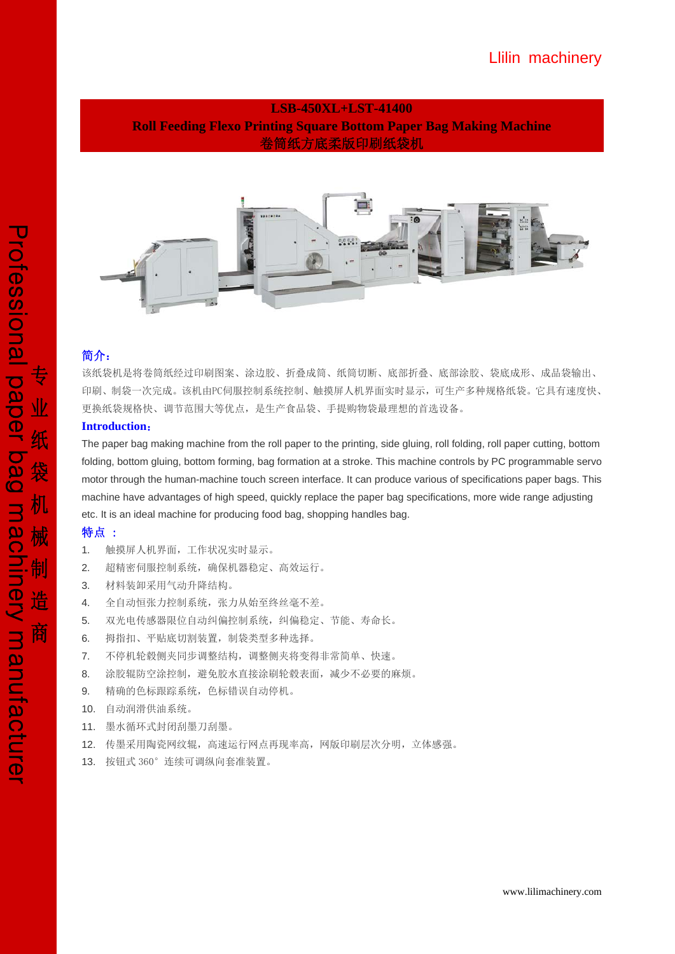## Llilin machinery

## **LSB-450XL+LST-41400 Roll Feeding Flexo Printing Square Bottom Paper Bag Making Machine**  卷筒纸方底柔版印刷纸袋机



### 简介:

该纸袋机是将卷筒纸经过印刷图案、涂边胶、折叠成筒、纸筒切断、底部折叠、底部涂胶、袋底成形、成品袋输出、 印刷、制袋一次完成。该机由PC伺服控制系统控制、触摸屏人机界面实时显示,可生产多种规格纸袋。它具有速度快、 更换纸袋规格快、调节范围大等优点,是生产食品袋、手提购物袋最理想的首选设备。

### **Introduction**:

The paper bag making machine from the roll paper to the printing, side gluing, roll folding, roll paper cutting, bottom folding, bottom gluing, bottom forming, bag formation at a stroke. This machine controls by PC programmable servo motor through the human-machine touch screen interface. It can produce various of specifications paper bags. This machine have advantages of high speed, quickly replace the paper bag specifications, more wide range adjusting etc. It is an ideal machine for producing food bag, shopping handles bag.

### 特点 :

- 1. 触摸屏人机界面,工作状况实时显示。
- 2. 超精密伺服控制系统,确保机器稳定、高效运行。
- 3. 材料装卸采用气动升降结构。
- 4. 全自动恒张力控制系统,张力从始至终丝毫不差。
- 5. 双光电传感器限位自动纠偏控制系统,纠偏稳定、节能、寿命长。
- 6. 拇指扣、平贴底切割装置,制袋类型多种选择。
- 7. 不停机轮毂侧夹同步调整结构,调整侧夹将变得非常简单、快速。
- 8. 涂胶辊防空涂控制,避免胶水直接涂刷轮毂表面,减少不必要的麻烦。
- 9. 精确的色标跟踪系统,色标错误自动停机。
- 10. 自动润滑供油系统。
- 11. 墨水循环式封闭刮墨刀刮墨。
- 12. 传墨采用陶瓷网纹辊,高速运行网点再现率高,网版印刷层次分明,立体感强。
- 13. 按钮式 360°连续可调纵向套准装置。